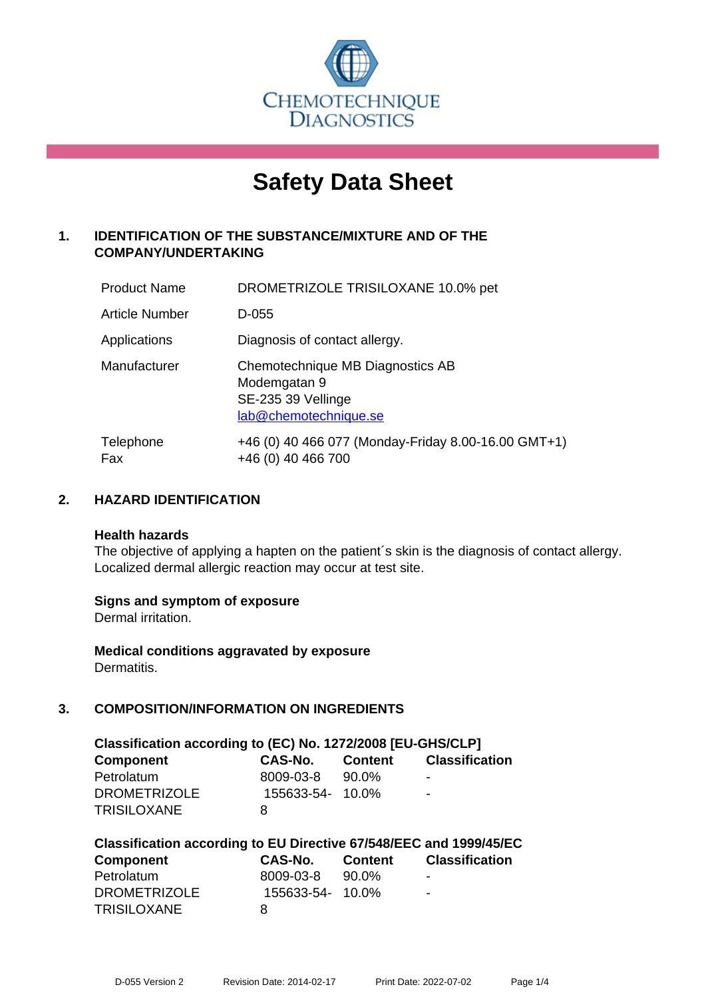

# **Safety Data Sheet**

# **1. IDENTIFICATION OF THE SUBSTANCE/MIXTURE AND OF THE COMPANY/UNDERTAKING**

| <b>Product Name</b> | DROMETRIZOLE TRISILOXANE 10.0% pet                                                              |
|---------------------|-------------------------------------------------------------------------------------------------|
| Article Number      | D-055                                                                                           |
| Applications        | Diagnosis of contact allergy.                                                                   |
| Manufacturer        | Chemotechnique MB Diagnostics AB<br>Modemgatan 9<br>SE-235 39 Vellinge<br>lab@chemotechnique.se |
| Telephone<br>Fax    | +46 (0) 40 466 077 (Monday-Friday 8.00-16.00 GMT+1)<br>+46 (0) 40 466 700                       |

## **2. HAZARD IDENTIFICATION**

#### **Health hazards**

The objective of applying a hapten on the patient's skin is the diagnosis of contact allergy. Localized dermal allergic reaction may occur at test site.

## **Signs and symptom of exposure**

Dermal irritation.

**Medical conditions aggravated by exposure** Dermatitis.

# **3. COMPOSITION/INFORMATION ON INGREDIENTS**

| Classification according to (EC) No. 1272/2008 [EU-GHS/CLP] |                  |         |                       |  |
|-------------------------------------------------------------|------------------|---------|-----------------------|--|
| <b>Component</b>                                            | CAS-No.          | Content | <b>Classification</b> |  |
| Petrolatum                                                  | 8009-03-8        | 90.0%   | -                     |  |
| <b>DROMETRIZOLE</b>                                         | 155633-54- 10.0% |         | $\blacksquare$        |  |
| <b>TRISILOXANE</b>                                          | 8                |         |                       |  |

| Classification according to EU Directive 67/548/EEC and 1999/45/EC |                  |         |                       |  |  |
|--------------------------------------------------------------------|------------------|---------|-----------------------|--|--|
| Component                                                          | CAS-No.          | Content | <b>Classification</b> |  |  |
| Petrolatum                                                         | 8009-03-8        | 90.0%   | ۰                     |  |  |
| <b>DROMETRIZOLE</b>                                                | 155633-54- 10.0% |         | -                     |  |  |
| <b>TRISILOXANE</b>                                                 | 8                |         |                       |  |  |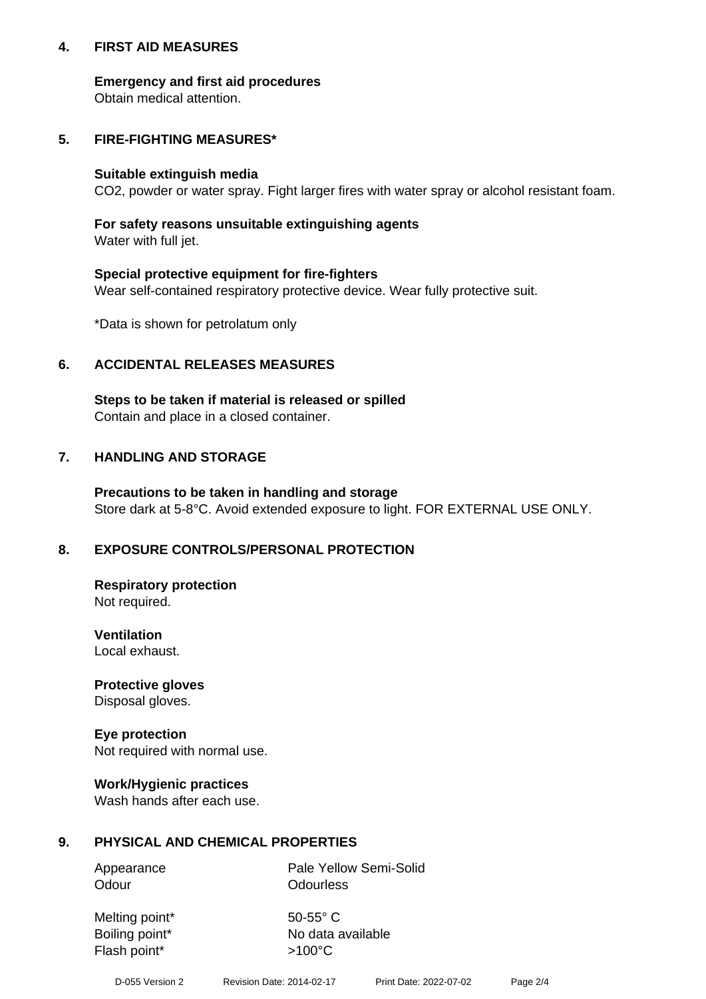## **4. FIRST AID MEASURES**

## **Emergency and first aid procedures**

Obtain medical attention.

## **5. FIRE-FIGHTING MEASURES\***

#### **Suitable extinguish media**

CO2, powder or water spray. Fight larger fires with water spray or alcohol resistant foam.

## **For safety reasons unsuitable extinguishing agents**

Water with full jet.

## **Special protective equipment for fire-fighters**

Wear self-contained respiratory protective device. Wear fully protective suit.

\*Data is shown for petrolatum only

## **6. ACCIDENTAL RELEASES MEASURES**

**Steps to be taken if material is released or spilled** Contain and place in a closed container.

# **7. HANDLING AND STORAGE**

**Precautions to be taken in handling and storage** Store dark at 5-8°C. Avoid extended exposure to light. FOR EXTERNAL USE ONLY.

# **8. EXPOSURE CONTROLS/PERSONAL PROTECTION**

**Respiratory protection** Not required.

**Ventilation** Local exhaust.

**Protective gloves** Disposal gloves.

#### **Eye protection** Not required with normal use.

## **Work/Hygienic practices**

Wash hands after each use.

## **9. PHYSICAL AND CHEMICAL PROPERTIES**

Odour **Odourless** 

Appearance Pale Yellow Semi-Solid

Melting point\* 50-55° C Flash point\*  $>100^{\circ}$ C

Boiling point\* No data available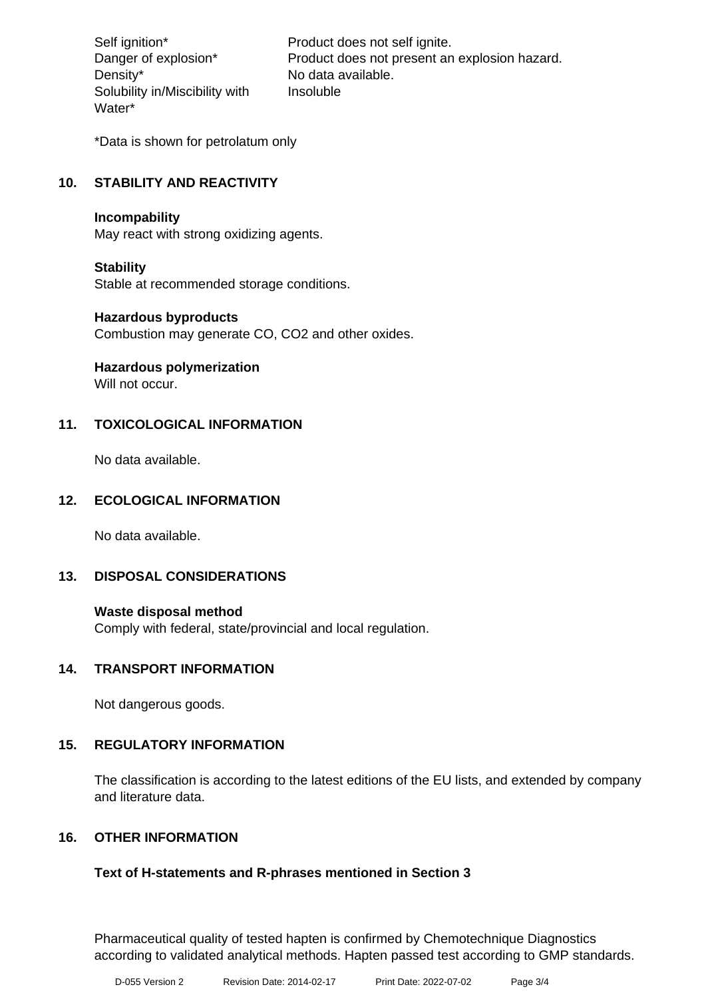Density\* No data available. Solubility in/Miscibility with Water\*

Self ignition\* Product does not self ignite. Danger of explosion\* Product does not present an explosion hazard. Insoluble

\*Data is shown for petrolatum only

# **10. STABILITY AND REACTIVITY**

#### **Incompability**

May react with strong oxidizing agents.

#### **Stability**

Stable at recommended storage conditions.

## **Hazardous byproducts**

Combustion may generate CO, CO2 and other oxides.

**Hazardous polymerization**

Will not occur.

## **11. TOXICOLOGICAL INFORMATION**

No data available.

## **12. ECOLOGICAL INFORMATION**

No data available.

## **13. DISPOSAL CONSIDERATIONS**

#### **Waste disposal method**

Comply with federal, state/provincial and local regulation.

## **14. TRANSPORT INFORMATION**

Not dangerous goods.

## **15. REGULATORY INFORMATION**

The classification is according to the latest editions of the EU lists, and extended by company and literature data.

## **16. OTHER INFORMATION**

## **Text of H-statements and R-phrases mentioned in Section 3**

Pharmaceutical quality of tested hapten is confirmed by Chemotechnique Diagnostics according to validated analytical methods. Hapten passed test according to GMP standards.